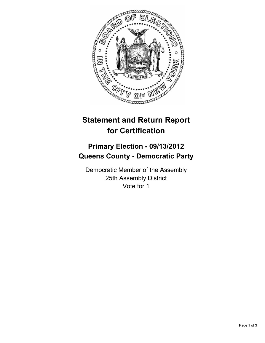

## **Statement and Return Report for Certification**

## **Primary Election - 09/13/2012 Queens County - Democratic Party**

Democratic Member of the Assembly 25th Assembly District Vote for 1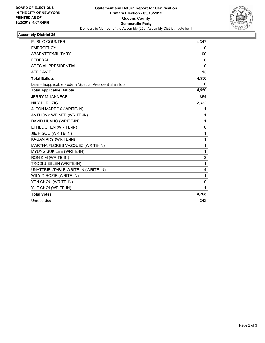

## **Assembly District 25**

| <b>PUBLIC COUNTER</b>                                    | 4,347        |
|----------------------------------------------------------|--------------|
| <b>EMERGENCY</b>                                         | 0            |
| ABSENTEE/MILITARY                                        | 190          |
| <b>FEDERAL</b>                                           | $\mathbf{0}$ |
| <b>SPECIAL PRESIDENTIAL</b>                              | $\Omega$     |
| <b>AFFIDAVIT</b>                                         | 13           |
| <b>Total Ballots</b>                                     | 4,550        |
| Less - Inapplicable Federal/Special Presidential Ballots | 0            |
| <b>Total Applicable Ballots</b>                          | 4,550        |
| <b>JERRY M. IANNECE</b>                                  | 1,854        |
| NILY D. ROZIC                                            | 2,322        |
| ALTON MADDOX (WRITE-IN)                                  | 1            |
| ANTHONY WEINER (WRITE-IN)                                | 1            |
| DAVID HUANG (WRITE-IN)                                   | 1            |
| ETHEL CHEN (WRITE-IN)                                    | 6            |
| JIE H GUO (WRITE-IN)                                     | 1            |
| KAGAN ARY (WRITE-IN)                                     | 1            |
| MARTHA FLORES VAZQUEZ (WRITE-IN)                         | 1            |
| MYUNG SUK LEE (WRITE-IN)                                 | 1            |
| RON KIM (WRITE-IN)                                       | 3            |
| TRODI J EBLEN (WRITE-IN)                                 | 1            |
| UNATTRIBUTABLE WRITE-IN (WRITE-IN)                       | 4            |
| WILY D ROZIE (WRITE-IN)                                  | 1            |
| YEN CHOU (WRITE-IN)                                      | 9            |
| YUE CHOI (WRITE-IN)                                      | 1            |
| <b>Total Votes</b>                                       | 4,208        |
| Unrecorded                                               | 342          |